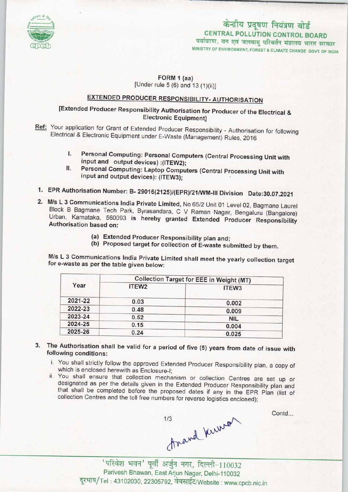

# केन्द्रीय प्रदूषण नियंत्रण बोर्ड CENTRAL POLLUTION CONTROL BOARD पर्यावरण, वन एवं जलवायु परिवर्तन मंत्रालय भारत सरकार

MINISTRY OF ENVIRONMENT, FOREST & CLIMATE CHANGE GOVT. OF INDIA

#### FORM 1 (aa) [Under rule  $5(6)$  and  $13(1)(ii)$ ]

# EXTENDED PRODUCER RESPONSIBILITY- AUTHORISATION

## [Extended Producer Responsibility Authorisation for Producer of the Electrical & Electronic Equipment]

- Ref: Your application for Grant of Extended Producer Responsibility Authorisation for following Electrical & Electronic Equipment under E-Waste (Management) Rules, 2016
	- I. Personal Computing: Personal Computers(Central Processing Unit with input and output devices) :(ITEW2);
	- II. Personal Computing: Laptop Computers (Central Processing Unit with input and output devices): (ITEW3);
- 1.EPR Authorisation Number: B- 29016(2125)/(EPR)/21/WM-lll Division Date:30.07.2021
- 2. M/s L 3 Communications India Private Limited, No 65/2 Unit 01 Level 02, Bagmane Laurel Block B Bagmane Tech Park, Byrasandara, C V Raman Nagar, Bengaluru (Bangalore) Urban, Karnataka, 560093 is hereby granted Extended Producer Responsibility Authorisation based on:
	- (a)Extended Producer Responsibility plan and;
	- (b) Proposed target for collection of E-waste submitted by them.

M/s L 3 Communications India Private Limited shall meet the yearly collection target for e-waste as per the table given below:

| Year    | <b>Collection Target for EEE in Weight (MT)</b> |                   |
|---------|-------------------------------------------------|-------------------|
|         | ITEW <sub>2</sub>                               | ITEW <sub>3</sub> |
| 2021-22 | 0.03                                            | 0.002             |
| 2022-23 | 0.48                                            | 0.009             |
| 2023-24 | 0.52                                            | <b>NIL</b>        |
| 2024-25 | 0.15                                            | 0.004             |
| 2025-26 | 0.24                                            | 0.025             |

- 3. The Authorisation shall be valid for a period of five (5) years from date of issue with following conditions:
	- i. You shall strictly follow the approved Extended Producer Responsibility plan, a copy of which is enclosed herewith as Enclosure-I;
	- ii. You shall ensure that collection mechanism or collection Centres are set up or designated as per the details given in the Extended Producer Responsibility plan and that shall be completed before the proposed dates if any in the EPR Plan (list of collection Centres and the toll free numbers for reverse logistics enclosed);

 $1/3$ <br>Anavd Kuure

Contd...

Parivesh Bhawan, East Arjun Nagar, Delhi-110032 दूरभाष/Tel: 43102030, 22305792, वेबसाईट/Website: www.cpcb.nic.in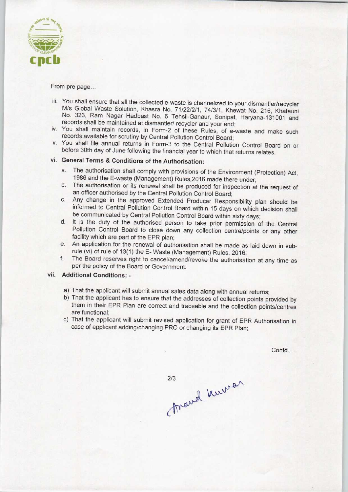

From pre page...

- iii. You shall ensure that all the collected e-waste is channelized to your dismantler/recycler M/s Global Waste Solution, Khasra No. 71/22/2/1, 74/3/1, Khewat No. 216, Khatauni No. 323, Ram Nagar Hadbast No. 6 Tehsil-Ganaur, Sonipat, Haryana-131001 and records shall be maintained at dismantler/ recycler and your end;
- iv. You shall maintain records, in Form-2 of these Rules, of e-waste and make such records available for scrutiny by Central Pollution Control Board;
- v. You shall file annual returns in Form-3 to the Central Pollution Control Board on or before 30th day of June following the financial year to which that returns relates.

### vi. General Terms & Conditions of the Authorisation:

- a.The authorisation shall comply with provisions of the Environment (Protection) Act, 1986 and the E-waste (Management) Rules,2016 made there under;
- b.The authorisation or its renewal shall be produced for inspection at the request of an officer authorised by the Central Pollution Control Board;
- c.Any change in the approved Extended Producer Responsibility plan should be informed to Central Pollution Control Board within 15 days on which decision shall be communicated by Central Pollution Control Board within sixty days;
- d. It is the duty of the authorised person to take prior permission of the Central Pollution Control Board to close down any collection centre/points or any other facility which are part of the EPR plan;
- e.An application for the renewal of authorisation shall be made as laid down in subrule (vi) of rule of 13(1) the E-Waste (Management) Rules, 2016;
- f. The Board reserves right to cancel/amend/revoke the authorisation at any time as per the policy of the Board or Government.

#### vii. Additional Conditions; -

- a)That the applicant will submit annual sales data along with annual returns;
- b) That the applicant has to ensure that the addresses of collection points provided by them in their EPR Plan are correct and traceable and the collection points/centres are functional;
- c)That the applicant will submit revised application for grant of EPR Authorisation in case of applicant adding/changing PRO or changing its EPR Plan;

Contd.....

marrel Kurra